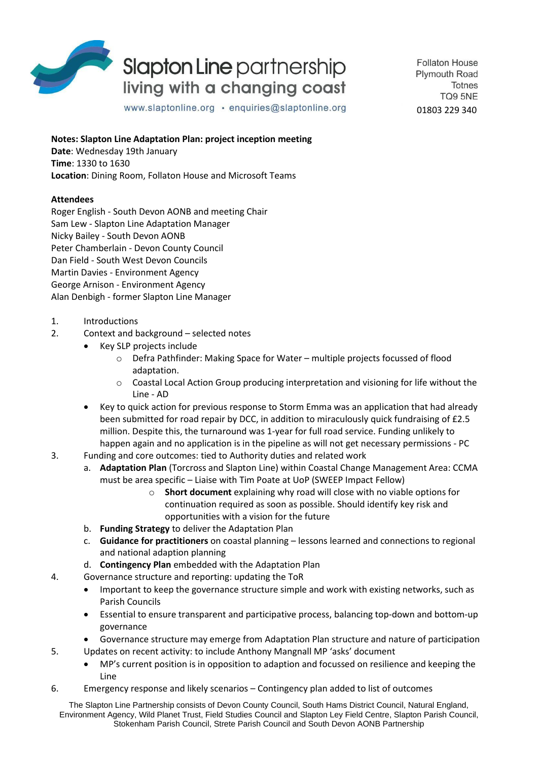

## **Slapton Line partnership** living with a changing coast

**Follaton House Plymouth Road Totnes** TO9 5NE 01803 229 340

www.slaptonline.org · enquiries@slaptonline.org

**Notes: Slapton Line Adaptation Plan: project inception meeting**

**Date**: Wednesday 19th January **Time**: 1330 to 1630 **Location**: Dining Room, Follaton House and Microsoft Teams

## **Attendees**

Roger English - South Devon AONB and meeting Chair Sam Lew - Slapton Line Adaptation Manager Nicky Bailey - South Devon AONB Peter Chamberlain - Devon County Council Dan Field - South West Devon Councils Martin Davies - Environment Agency George Arnison - Environment Agency Alan Denbigh - former Slapton Line Manager

- 1. Introductions
- 2. Context and background selected notes
	- Key SLP projects include
		- o Defra Pathfinder: Making Space for Water multiple projects focussed of flood adaptation.
		- o Coastal Local Action Group producing interpretation and visioning for life without the Line - AD
	- Key to quick action for previous response to Storm Emma was an application that had already been submitted for road repair by DCC, in addition to miraculously quick fundraising of £2.5 million. Despite this, the turnaround was 1-year for full road service. Funding unlikely to happen again and no application is in the pipeline as will not get necessary permissions - PC
- 3. Funding and core outcomes: tied to Authority duties and related work
	- a. **Adaptation Plan** (Torcross and Slapton Line) within Coastal Change Management Area: CCMA must be area specific – Liaise with Tim Poate at UoP (SWEEP Impact Fellow)
		- o **Short document** explaining why road will close with no viable options for continuation required as soon as possible. Should identify key risk and opportunities with a vision for the future
	- b. **Funding Strategy** to deliver the Adaptation Plan
	- c. **Guidance for practitioners** on coastal planning lessons learned and connections to regional and national adaption planning
	- d. **Contingency Plan** embedded with the Adaptation Plan
- 4. Governance structure and reporting: updating the ToR
	- Important to keep the governance structure simple and work with existing networks, such as Parish Councils
	- Essential to ensure transparent and participative process, balancing top-down and bottom-up governance
	- Governance structure may emerge from Adaptation Plan structure and nature of participation
- 5. Updates on recent activity: to include Anthony Mangnall MP 'asks' document
	- MP's current position is in opposition to adaption and focussed on resilience and keeping the Line
- 6. Emergency response and likely scenarios Contingency plan added to list of outcomes

The Slapton Line Partnership consists of Devon County Council, South Hams District Council, Natural England, Environment Agency, Wild Planet Trust, Field Studies Council and Slapton Ley Field Centre, Slapton Parish Council, Stokenham Parish Council, Strete Parish Council and South Devon AONB Partnership